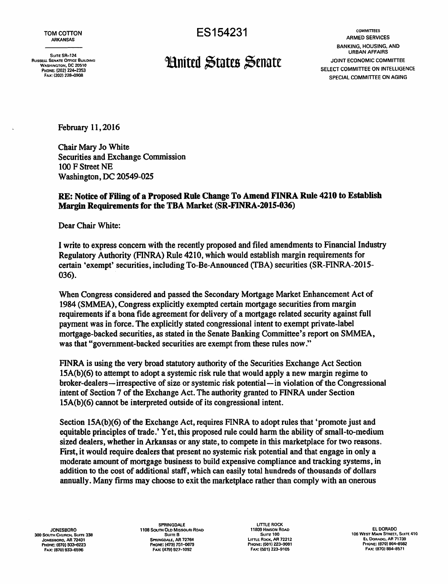Fax: (202) 228-0908 PHONE: 1202) 224-2353

TOM COTTON CONSTRUCTS COMMITTEES TO COMMITTEES ARKANSAS BANKING, HOUSING. AND Surre SR-124 URBAN AFFAIRS<br>WASHINGTON, DC 20510<br>PHONE: (202) 224–2353<br>PHONE: (202) 224–2353 SPECIAL COMMITTEE ON AGING

February 11, 2016

Chair Mary Jo White Securities and Exchange Commission 100 F Street NE Washington, DC 20549-025

## RE: Notice of Filing of a Proposed Rule Change To Amend FINRA Rule 4210 to Establish Margin Requirements for the TBA Market (SR-FINRA-2015-036)

Dear Chair White:

I write to express concern with the recently proposed and filed amendments to Financial Industry Regulatory Authority (FINRA) Rule 4210, which would establish margin requirements for certain 'exempt' securities, including To-Be-Announced (fBA) securities (SR-FINRA-2015 036).

When Congress considered and passed the Secondary Mortgage Market Enhancement Act of 1984 (SMMEA), Congress explicitly exempted certain mortgage securities from margin requirements if a bona fide agreement for delivery of a mortgage related security against full payment was in force. The explicitly stated congressional intent to exempt private-label mortgage-backed securities, as stated in the Senate Banking Committee's report on SMMEA, was that "government-backed securities are exempt from these rules now."

FINRA is using the very broad statutory authority of the Securities Exchange Act Section 15A(b)(6) to attempt to adopt a systemic risk rule that would apply a new margin regime to broker-dealers-irrespective of size or systemic risk potential-in violation of the Congressional intent of Section 7 of the Exchange Act. The authority granted to FINRA under Section 15A(b)(6) cannot be interpreted outside of its congressional intent.

Section 15A(b)(6) of the Exchange Act, requires FINRA to adopt rules that 'promote just and equitable principles of trade.' Yet, this proposed rule could harm the ability of small-to-medium sized dealers, whether in Arkansas or any state, to compete in this marketplace for two reasons. First, it would require dealers that present no systemic risk potential and that engage in only a moderate amount of mortgage business to build expensive compliance and tracking systems, in addition to the cost of additional staff, which can easily total hundreds of thousands of dollars annually. Many firms may choose to exit the marketplace rather than comply with an onerous

300 SOUTH CHURCH, SUITE 338 JoNESBORO, AR 72401 PHONE: (670) 833-6223 FAX: (870) 933-6596

SPRINGDALE LITTLE ROCK<br>THE R ID MISSOURI BOAD COMPANY 11809 HINSON ROAD JONESBORO 1108 SOOTH OLD MISSOlJRI ROAD 11809 HINSON ROAD ELDORADO Suite B SPRINGDALE, AR 72764<br>PHONE: (479) 751-0879 FAX: (479) 927-1092

Suite 100 llmE ROCK, AR 72212 PHONf: (501) 223-9081 FAX: (501) 223-9105

106 WEST MAIN STREET, SUITE 410<br>EL DORADO, AR 71730 PHONE: (870) 864-8582 FAX: (8701 864-8571